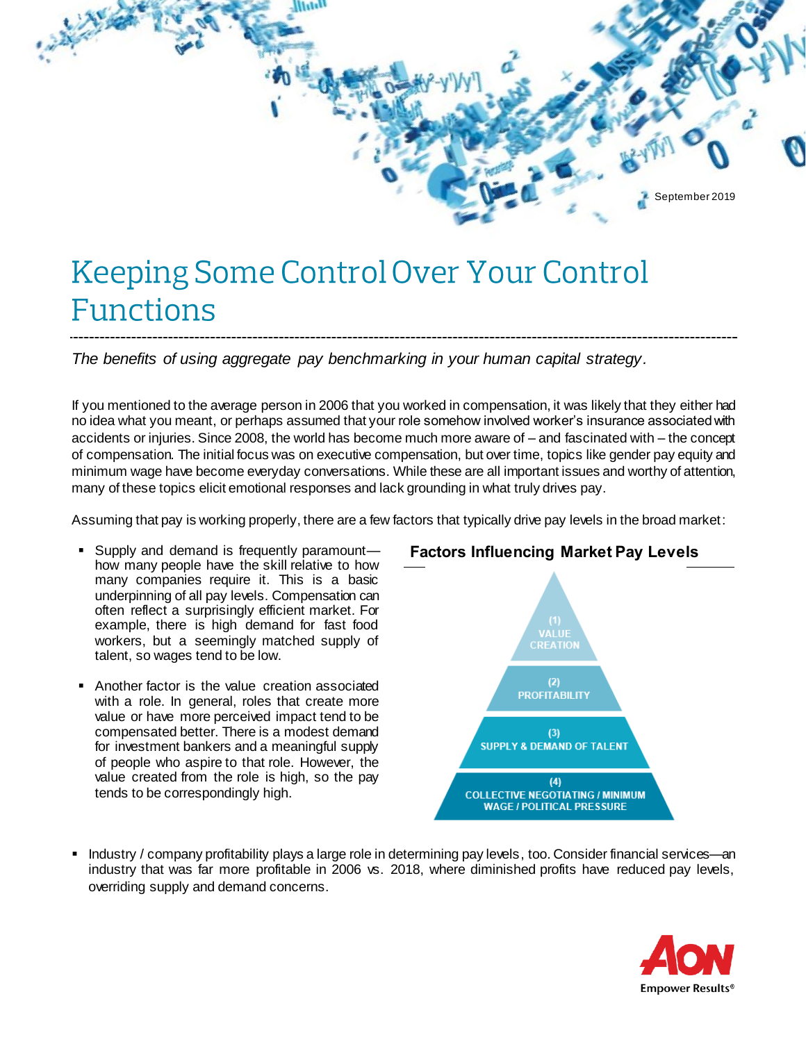

# Keeping Some Control Over Your Control **Functions**

*The benefits of using aggregate pay benchmarking in your human capital strategy.*

If you mentioned to the average person in 2006 that you worked in compensation, it was likely that they either had no idea what you meant, or perhaps assumed that your role somehow involved worker's insurance associated with accidents or injuries. Since 2008, the world has become much more aware of – and fascinated with – the concept of compensation. The initial focus was on executive compensation, but over time, topics like gender pay equity and minimum wage have become everyday conversations. While these are all important issues and worthy of attention, many of these topics elicit emotional responses and lack grounding in what truly drives pay.

Assuming that pay is working properly, there are a few factors that typically drive pay levels in the broad market:

- Supply and demand is frequently paramount how many people have the skill relative to how many companies require it. This is a basic underpinning of all pay levels. Compensation can often reflect a surprisingly efficient market. For example, there is high demand for fast food workers, but a seemingly matched supply of talent, so wages tend to be low.
- **EXE** Another factor is the value creation associated with a role. In general, roles that create more value or have more perceived impact tend to be compensated better. There is a modest demand for investment bankers and a meaningful supply of people who aspire to that role. However, the value created from the role is high, so the pay tends to be correspondingly high.



Industry / company profitability plays a large role in determining pay levels, too. Consider financial services—an industry that was far more profitable in 2006 vs. 2018, where diminished profits have reduced pay levels, overriding supply and demand concerns.



### **Factors Influencing Market Pay Levels**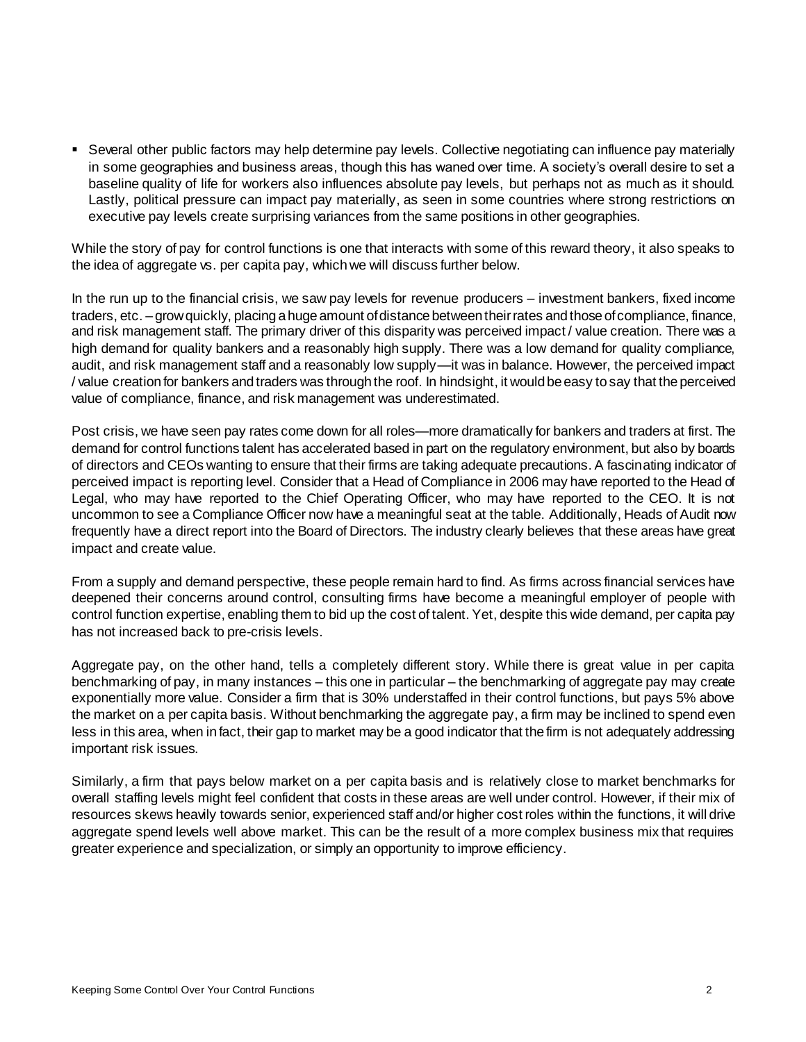**•** Several other public factors may help determine pay levels. Collective negotiating can influence pay materially in some geographies and business areas, though this has waned over time. A society's overall desire to set a baseline quality of life for workers also influences absolute pay levels, but perhaps not as much as it should. Lastly, political pressure can impact pay materially, as seen in some countries where strong restrictions on executive pay levels create surprising variances from the same positions in other geographies.

While the story of pay for control functions is one that interacts with some of this reward theory, it also speaks to the idea of aggregate vs. per capita pay, which we will discuss further below.

In the run up to the financial crisis, we saw pay levels for revenue producers – investment bankers, fixed income traders, etc. –grow quickly, placing a huge amount of distance between their rates and those of compliance, finance, and risk management staff. The primary driver of this disparity was perceived impact / value creation. There was a high demand for quality bankers and a reasonably high supply. There was a low demand for quality compliance, audit, and risk management staff and a reasonably low supply—it was in balance. However, the perceived impact / value creation for bankers and traders was through the roof. In hindsight, it would be easy to say that the perceived value of compliance, finance, and risk management was underestimated.

Post crisis, we have seen pay rates come down for all roles—more dramatically for bankers and traders at first. The demand for control functions talent has accelerated based in part on the regulatory environment, but also by boards of directors and CEOs wanting to ensure that their firms are taking adequate precautions. A fascinating indicator of perceived impact is reporting level. Consider that a Head of Compliance in 2006 may have reported to the Head of Legal, who may have reported to the Chief Operating Officer, who may have reported to the CEO. It is not uncommon to see a Compliance Officer now have a meaningful seat at the table. Additionally, Heads of Audit now frequently have a direct report into the Board of Directors. The industry clearly believes that these areas have great impact and create value.

From a supply and demand perspective, these people remain hard to find. As firms across financial services have deepened their concerns around control, consulting firms have become a meaningful employer of people with control function expertise, enabling them to bid up the cost of talent. Yet, despite this wide demand, per capita pay has not increased back to pre-crisis levels.

Aggregate pay, on the other hand, tells a completely different story. While there is great value in per capita benchmarking of pay, in many instances – this one in particular – the benchmarking of aggregate pay may create exponentially more value. Consider a firm that is 30% understaffed in their control functions, but pays 5% above the market on a per capita basis. Without benchmarking the aggregate pay, a firm may be inclined to spend even less in this area, when in fact, their gap to market may be a good indicator that the firm is not adequately addressing important risk issues.

Similarly, a firm that pays below market on a per capita basis and is relatively close to market benchmarks for overall staffing levels might feel confident that costs in these areas are well under control. However, if their mix of resources skews heavily towards senior, experienced staff and/or higher cost roles within the functions, it will drive aggregate spend levels well above market. This can be the result of a more complex business mix that requires greater experience and specialization, or simply an opportunity to improve efficiency.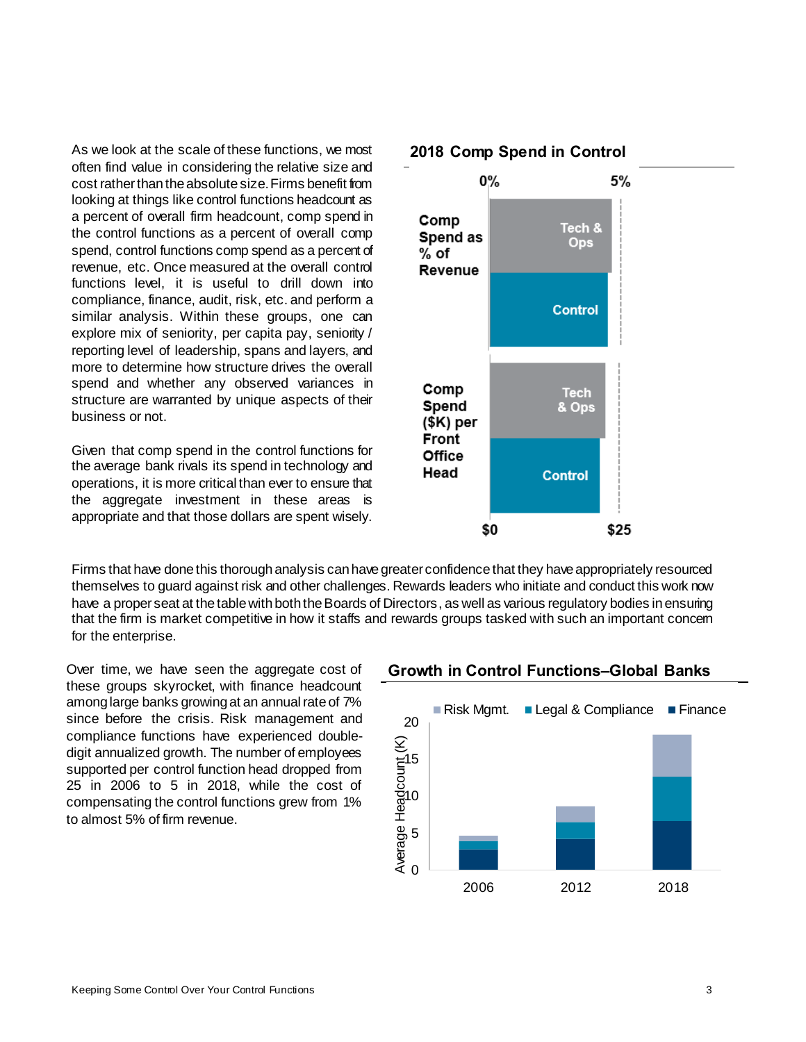As we look at the scale of these functions, we most often find value in considering the relative size and cost rather than the absolute size. Firms benefit from looking at things like control functions headcount as a percent of overall firm headcount, comp spend in the control functions as a percent of overall comp spend, control functions comp spend as a percent of revenue, etc. Once measured at the overall control functions level, it is useful to drill down into compliance, finance, audit, risk, etc. and perform a similar analysis. Within these groups, one can explore mix of seniority, per capita pay, seniority / reporting level of leadership, spans and layers, and more to determine how structure drives the overall spend and whether any observed variances in structure are warranted by unique aspects of their business or not.

Given that comp spend in the control functions for the average bank rivals its spend in technology and operations, it is more critical than ever to ensure that the aggregate investment in these areas is appropriate and that those dollars are spent wisely.

 $0\%$ 5% Comp Tech & Spend as Ops  $%$  of Revenue **Control** Comp **Tech** Spend & Ops  $($K)$  per Front Office Head **Control** \$0 \$25

## **Growth in Control Functions–Global Banks**

Firms that have done this thorough analysis can have greater confidence that they have appropriately resourced themselves to guard against risk and other challenges. Rewards leaders who initiate and conduct this work now have a proper seat at the table with both the Boards of Directors, as well as various regulatory bodies in ensuring that the firm is market competitive in how it staffs and rewards groups tasked with such an important concern



Over time, we have seen the aggregate cost of these groups skyrocket, with finance headcount among large banks growing at an annual rate of 7% since before the crisis. Risk management and compliance functions have experienced doubledigit annualized growth. The number of employees supported per control function head dropped from 25 in 2006 to 5 in 2018, while the cost of compensating the control functions grew from 1% to almost 5% of firm revenue.

for the enterprise.

#### **2018 Comp Spend in Control**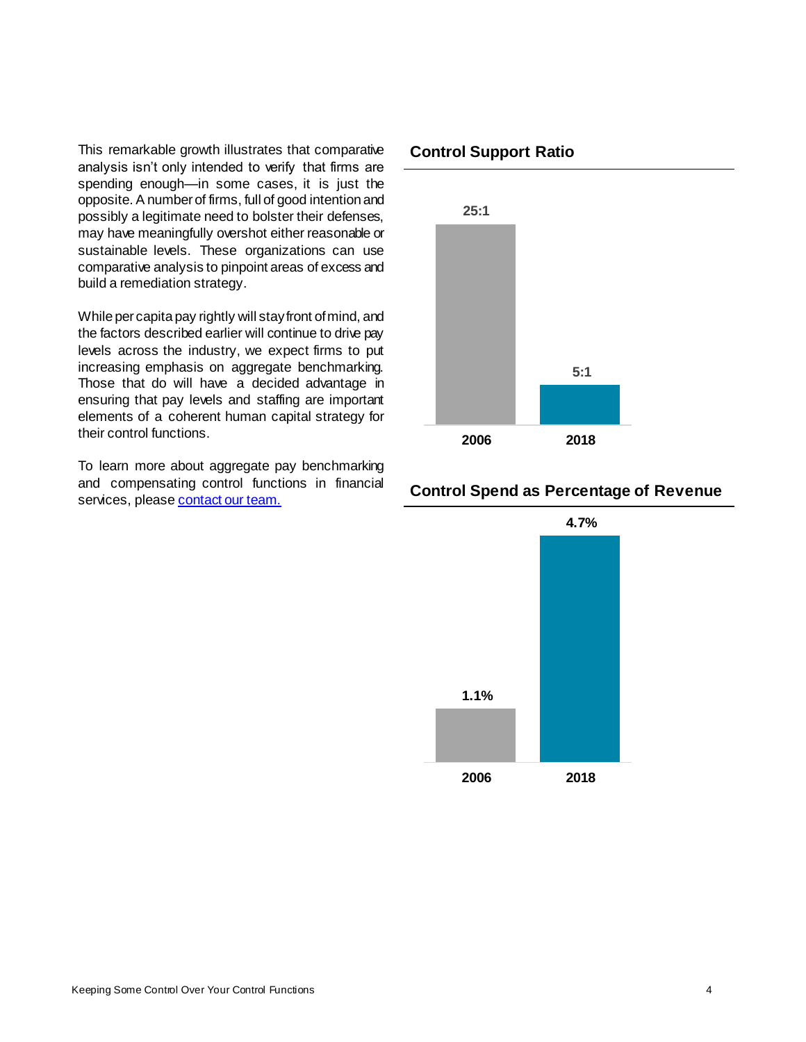This remarkable growth illustrates that comparative analysis isn't only intended to verify that firms are spending enough—in some cases, it is just the opposite. A number of firms, full of good intention and possibly a legitimate need to bolster their defenses, may have meaningfully overshot either reasonable or sustainable levels. These organizations can use comparative analysis to pinpoint areas of excess and build a remediation strategy.

While per capita pay rightly will stay front of mind, and the factors described earlier will continue to drive pay levels across the industry, we expect firms to put increasing emphasis on aggregate benchmarking. Those that do will have a decided advantage in ensuring that pay levels and staffing are important elements of a coherent human capital strategy for their control functions.

To learn more about aggregate pay benchmarking and compensating control functions in financial services, pleas[e contact our team.](mailto:info@mclagan.com?subject=Control%20Functions%20Alert)

#### **Control Support Ratio**



#### **Control Spend as Percentage of Revenue**